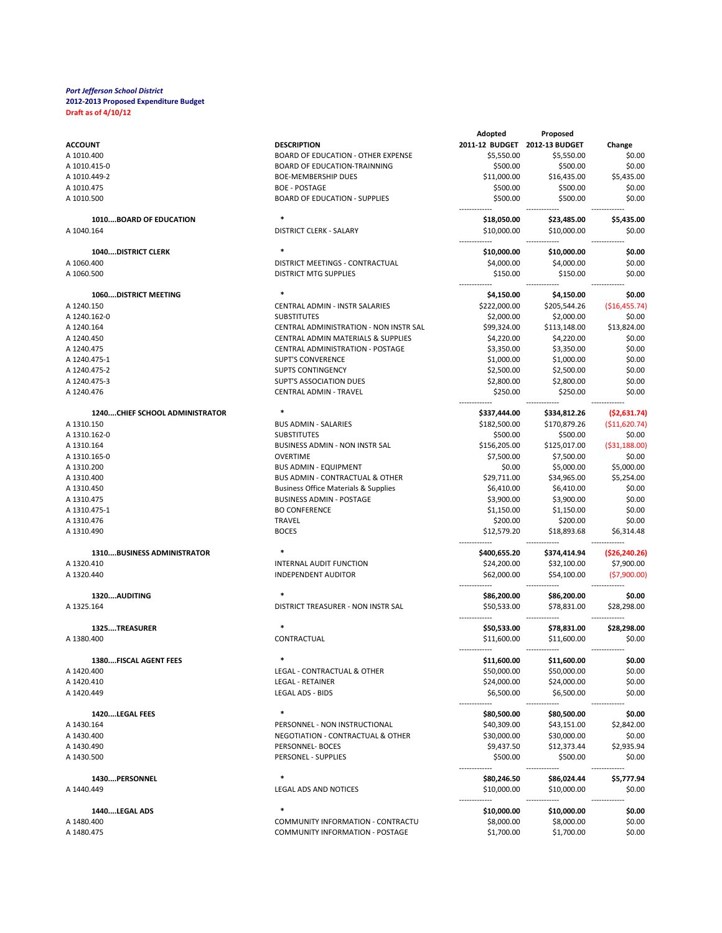|                                       |                                                 | Adopted                       | Proposed                   |                 |
|---------------------------------------|-------------------------------------------------|-------------------------------|----------------------------|-----------------|
| <b>ACCOUNT</b>                        | <b>DESCRIPTION</b>                              | 2011-12 BUDGET 2012-13 BUDGET |                            | Change          |
| A 1010.400                            | <b>BOARD OF EDUCATION - OTHER EXPENSE</b>       | \$5,550.00                    | \$5,550.00                 | \$0.00          |
| A 1010.415-0                          | <b>BOARD OF EDUCATION-TRAINNING</b>             | \$500.00                      | \$500.00                   | \$0.00          |
| A 1010.449-2                          | <b>BOE-MEMBERSHIP DUES</b>                      | \$11,000.00                   | \$16,435.00                | \$5,435.00      |
| A 1010.475                            | <b>BOE - POSTAGE</b>                            | \$500.00                      | \$500.00                   | \$0.00          |
| A 1010.500                            | <b>BOARD OF EDUCATION - SUPPLIES</b>            | \$500.00                      | \$500.00                   | \$0.00          |
| 1010BOARD OF EDUCATION                | $\ast$                                          |                               |                            |                 |
|                                       |                                                 | \$18,050.00                   | \$23,485.00                | \$5,435.00      |
| A 1040.164                            | <b>DISTRICT CLERK - SALARY</b>                  | \$10,000.00                   | \$10,000.00                | \$0.00          |
| <b>1040DISTRICT CLERK</b>             | $\ast$                                          | \$10,000.00                   | \$10,000.00                | \$0.00          |
| A 1060.400                            | DISTRICT MEETINGS - CONTRACTUAL                 | \$4,000.00                    | \$4,000.00                 | \$0.00          |
| A 1060.500                            | <b>DISTRICT MTG SUPPLIES</b>                    | \$150.00                      | \$150.00                   | \$0.00          |
| 1060DISTRICT MEETING                  | $\ast$                                          | \$4,150.00                    | \$4,150.00                 | \$0.00          |
| A 1240.150                            | CENTRAL ADMIN - INSTR SALARIES                  | \$222,000.00                  | \$205,544.26               | ( \$16,455.74)  |
| A 1240.162-0                          | <b>SUBSTITUTES</b>                              | \$2,000.00                    | \$2,000.00                 | \$0.00          |
| A 1240.164                            | CENTRAL ADMINISTRATION - NON INSTR SAL          | \$99,324.00                   | \$113,148.00               | \$13,824.00     |
| A 1240.450                            | CENTRAL ADMIN MATERIALS & SUPPLIES              | \$4,220.00                    | \$4,220.00                 | \$0.00          |
| A 1240.475                            | CENTRAL ADMINISTRATION - POSTAGE                | \$3,350.00                    | \$3,350.00                 | \$0.00          |
| A 1240.475-1                          | <b>SUPT'S CONVERENCE</b>                        | \$1,000.00                    | \$1,000.00                 | \$0.00          |
|                                       |                                                 |                               |                            |                 |
| A 1240.475-2                          | <b>SUPTS CONTINGENCY</b>                        | \$2,500.00                    | \$2,500.00                 | \$0.00          |
| A 1240.475-3                          | <b>SUPT'S ASSOCIATION DUES</b>                  | \$2,800.00                    | \$2,800.00                 | \$0.00          |
| A 1240.476                            | <b>CENTRAL ADMIN - TRAVEL</b>                   | \$250.00                      | \$250.00                   | \$0.00          |
| <b>1240CHIEF SCHOOL ADMINISTRATOR</b> |                                                 | \$337,444.00                  | \$334,812.26               | (52, 631.74)    |
| A 1310.150                            | <b>BUS ADMIN - SALARIES</b>                     | \$182,500.00                  | \$170,879.26               | ( \$11,620.74)  |
| A 1310.162-0                          | <b>SUBSTITUTES</b>                              | \$500.00                      | \$500.00                   | \$0.00          |
| A 1310.164                            | <b>BUSINESS ADMIN - NON INSTR SAL</b>           | \$156,205.00                  | \$125,017.00               | ( \$31,188.00)  |
| A 1310.165-0                          | <b>OVERTIME</b>                                 | \$7,500.00                    | \$7,500.00                 | \$0.00          |
| A 1310.200                            | <b>BUS ADMIN - EQUIPMENT</b>                    | \$0.00                        | \$5,000.00                 | \$5,000.00      |
| A 1310.400                            | BUS ADMIN - CONTRACTUAL & OTHER                 | \$29,711.00                   | \$34,965.00                | \$5,254.00      |
|                                       |                                                 |                               |                            | \$0.00          |
| A 1310.450                            | <b>Business Office Materials &amp; Supplies</b> | \$6,410.00                    | \$6,410.00                 |                 |
| A 1310.475                            | <b>BUSINESS ADMIN - POSTAGE</b>                 | \$3,900.00                    | \$3,900.00                 | \$0.00          |
| A 1310.475-1                          | <b>BO CONFERENCE</b>                            | \$1,150.00                    | \$1,150.00                 | \$0.00          |
| A 1310.476                            | <b>TRAVEL</b>                                   | \$200.00                      | \$200.00                   | \$0.00          |
| A 1310.490                            | <b>BOCES</b>                                    | \$12,579.20                   | \$18,893.68                | \$6,314.48      |
| 1310BUSINESS ADMINISTRATOR            |                                                 | \$400,655.20                  | \$374,414.94               | ( \$26, 240.26] |
| A 1320.410                            | INTERNAL AUDIT FUNCTION                         | \$24,200.00                   | \$32,100.00                | \$7,900.00      |
| A 1320.440                            | <b>INDEPENDENT AUDITOR</b>                      | \$62,000.00                   | \$54,100.00                | (57,900.00)     |
| 1320AUDITING                          |                                                 | \$86,200.00                   | \$86,200.00                | \$0.00          |
| A 1325.164                            | DISTRICT TREASURER - NON INSTR SAL              | \$50,533.00                   | \$78,831.00                | \$28,298.00     |
| 1325TREASURER                         | $\ast$                                          |                               |                            |                 |
|                                       |                                                 | \$50,533.00                   | \$78,831.00                | \$28,298.00     |
| A 1380.400                            | CONTRACTUAL                                     | \$11,600.00                   | \$11,600.00                | \$0.00          |
| 1380FISCAL AGENT FEES                 |                                                 | \$11,600.00                   | <b>\$11,600.00</b>         | 50.00           |
| A 1420.400                            | LEGAL - CONTRACTUAL & OTHER                     | \$50,000.00                   | \$50,000.00                | \$0.00          |
| A 1420.410                            | <b>LEGAL - RETAINER</b>                         | \$24,000.00                   | \$24,000.00                | \$0.00          |
| A 1420.449                            | LEGAL ADS - BIDS                                | \$6,500.00                    | \$6,500.00                 | \$0.00          |
| 1420LEGAL FEES                        | $\ast$                                          | \$80,500.00                   | \$80,500.00                | \$0.00          |
| A 1430.164                            | PERSONNEL - NON INSTRUCTIONAL                   | \$40,309.00                   | \$43,151.00                | \$2,842.00      |
| A 1430.400                            | NEGOTIATION - CONTRACTUAL & OTHER               | \$30,000.00                   | \$30,000.00                | \$0.00          |
| A 1430.490                            | PERSONNEL- BOCES                                | \$9,437.50                    | \$12,373.44                | \$2,935.94      |
| A 1430.500                            | PERSONEL - SUPPLIES                             | \$500.00                      | \$500.00                   | \$0.00          |
| 1430PERSONNEL                         | $\ast$                                          |                               |                            | \$5,777.94      |
| A 1440.449                            | LEGAL ADS AND NOTICES                           | \$80,246.50<br>\$10,000.00    | \$86,024.44<br>\$10,000.00 | \$0.00          |
|                                       |                                                 |                               |                            |                 |
| 1440LEGAL ADS                         | $\ast$                                          | \$10,000.00                   | \$10,000.00                | \$0.00          |
| A 1480.400                            | COMMUNITY INFORMATION - CONTRACTU               | \$8,000.00                    | \$8,000.00                 | \$0.00          |
| A 1480.475                            | COMMUNITY INFORMATION - POSTAGE                 | \$1,700.00                    | \$1,700.00                 | \$0.00          |
|                                       |                                                 |                               |                            |                 |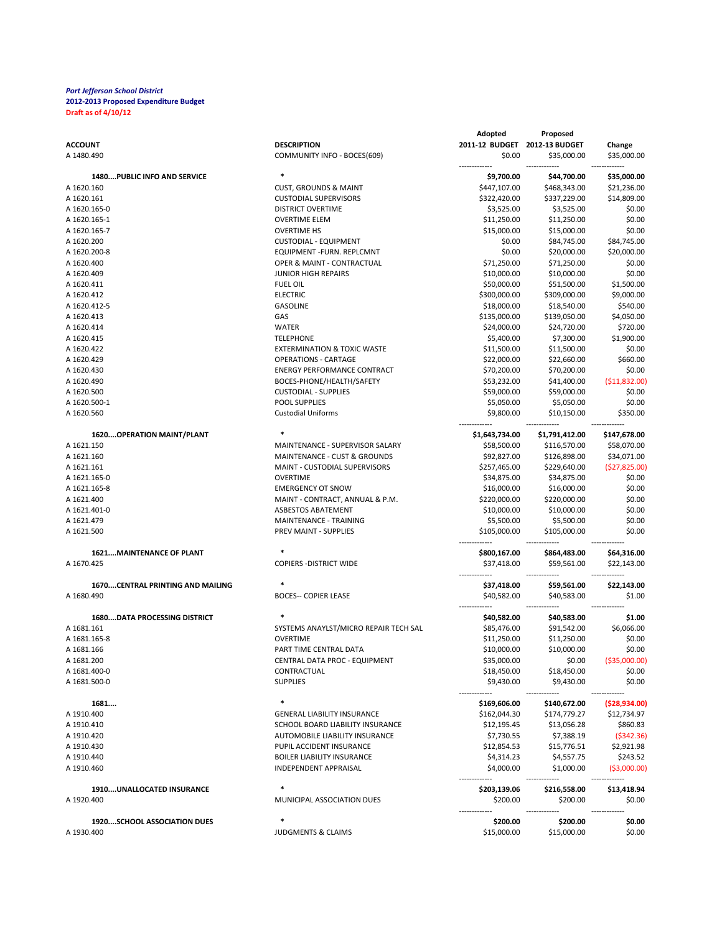|                                     |                                        | Adopted                      | Proposed                     |                              |
|-------------------------------------|----------------------------------------|------------------------------|------------------------------|------------------------------|
| <b>ACCOUNT</b>                      | <b>DESCRIPTION</b>                     | <b>2011-12 BUDGET</b>        | 2012-13 BUDGET               | Change                       |
| A 1480.490                          | COMMUNITY INFO - BOCES(609)            | \$0.00                       | \$35,000.00                  | \$35,000.00<br>------        |
| 1480PUBLIC INFO AND SERVICE         | $\ast$                                 | \$9,700.00                   | \$44,700.00                  | \$35,000.00                  |
| A 1620.160                          | <b>CUST, GROUNDS &amp; MAINT</b>       | \$447,107.00                 | \$468,343.00                 | \$21,236.00                  |
| A 1620.161                          | <b>CUSTODIAL SUPERVISORS</b>           | \$322,420.00                 | \$337,229.00                 | \$14,809.00                  |
| A 1620.165-0                        | <b>DISTRICT OVERTIME</b>               | \$3,525.00                   | \$3,525.00                   | \$0.00                       |
| A 1620.165-1                        | <b>OVERTIME ELEM</b>                   | \$11,250.00                  | \$11,250.00                  | \$0.00                       |
| A 1620.165-7                        | <b>OVERTIME HS</b>                     | \$15,000.00                  | \$15,000.00                  | \$0.00                       |
| A 1620.200                          | <b>CUSTODIAL - EQUIPMENT</b>           | \$0.00                       | \$84,745.00                  | \$84,745.00                  |
| A 1620.200-8                        | EQUIPMENT-FURN. REPLCMNT               | \$0.00                       | \$20,000.00                  | \$20,000.00                  |
| A 1620.400                          | OPER & MAINT - CONTRACTUAL             | \$71,250.00                  | \$71,250.00                  | \$0.00                       |
| A 1620.409                          | <b>JUNIOR HIGH REPAIRS</b>             | \$10,000.00                  | \$10,000.00                  | \$0.00                       |
| A 1620.411                          | <b>FUEL OIL</b>                        | \$50,000.00                  | \$51,500.00                  | \$1,500.00                   |
| A 1620.412                          | <b>ELECTRIC</b>                        | \$300,000.00                 | \$309,000.00                 | \$9,000.00                   |
| A 1620.412-5                        | <b>GASOLINE</b>                        | \$18,000.00                  | \$18,540.00                  | \$540.00                     |
| A 1620.413<br>A 1620.414            | GAS<br><b>WATER</b>                    | \$135,000.00<br>\$24,000.00  | \$139,050.00<br>\$24,720.00  | \$4,050.00<br>\$720.00       |
| A 1620.415                          | <b>TELEPHONE</b>                       | \$5,400.00                   | \$7,300.00                   | \$1,900.00                   |
| A 1620.422                          | <b>EXTERMINATION &amp; TOXIC WASTE</b> | \$11,500.00                  | \$11,500.00                  | \$0.00                       |
| A 1620.429                          | <b>OPERATIONS - CARTAGE</b>            | \$22,000.00                  | \$22,660.00                  | \$660.00                     |
| A 1620.430                          | <b>ENERGY PERFORMANCE CONTRACT</b>     | \$70,200.00                  | \$70,200.00                  | \$0.00                       |
| A 1620.490                          | BOCES-PHONE/HEALTH/SAFETY              | \$53,232.00                  | \$41,400.00                  | (511.832.00)                 |
| A 1620.500                          | <b>CUSTODIAL - SUPPLIES</b>            | \$59,000.00                  | \$59,000.00                  | \$0.00                       |
| A 1620.500-1                        | <b>POOL SUPPLIES</b>                   | \$5,050.00                   | \$5,050.00                   | \$0.00                       |
| A 1620.560                          | <b>Custodial Uniforms</b>              | \$9,800.00                   | \$10,150.00                  | \$350.00                     |
|                                     |                                        |                              |                              |                              |
| 1620 OPERATION MAINT/PLANT          |                                        | \$1,643,734.00               | \$1,791,412.00               | \$147,678.00                 |
| A 1621.150                          | MAINTENANCE - SUPERVISOR SALARY        | \$58,500.00                  | \$116,570.00                 | \$58,070.00                  |
| A 1621.160                          | MAINTENANCE - CUST & GROUNDS           | \$92,827.00                  | \$126,898.00                 | \$34,071.00                  |
| A 1621.161                          | MAINT - CUSTODIAL SUPERVISORS          | \$257,465.00                 | \$229,640.00                 | ( \$27, 825.00)              |
| A 1621.165-0                        | <b>OVERTIME</b>                        | \$34,875.00                  | \$34,875.00                  | \$0.00                       |
| A 1621.165-8                        | <b>EMERGENCY OT SNOW</b>               | \$16,000.00                  | \$16,000.00                  | \$0.00                       |
| A 1621.400                          | MAINT - CONTRACT, ANNUAL & P.M.        | \$220,000.00                 | \$220,000.00                 | \$0.00                       |
| A 1621.401-0                        | <b>ASBESTOS ABATEMENT</b>              | \$10,000.00                  | \$10,000.00                  | \$0.00                       |
| A 1621.479                          | MAINTENANCE - TRAINING                 | \$5,500.00                   | \$5,500.00                   | \$0.00                       |
| A 1621.500                          | PREV MAINT - SUPPLIES                  | \$105,000.00                 | \$105,000.00                 | \$0.00                       |
| <b>1621MAINTENANCE OF PLANT</b>     | $\ast$                                 | \$800,167.00                 | \$864,483.00                 | \$64,316.00                  |
| A 1670.425                          | <b>COPIERS - DISTRICT WIDE</b>         | \$37,418.00                  | \$59,561.00                  | \$22,143.00                  |
|                                     |                                        |                              |                              |                              |
| 1670CENTRAL PRINTING AND MAILING    | $\ast$                                 | \$37,418.00                  | \$59,561.00                  | \$22,143.00                  |
| A 1680.490                          | <b>BOCES-- COPIER LEASE</b>            | \$40,582.00                  | \$40,583.00                  | \$1.00                       |
|                                     |                                        |                              |                              |                              |
| <b>1680DATA PROCESSING DISTRICT</b> |                                        | \$40,582.00                  | \$40,583.00                  | \$1.00                       |
| A 1681.161                          | SYSTEMS ANAYLST/MICRO REPAIR TECH SAL  | \$85,476.00                  | \$91,542.00                  | \$6,066.00                   |
| A 1681.165-8                        | <b>OVERTIME</b>                        | \$11,250.00                  | \$11,250.00                  | \$0.00                       |
| A 1681.166                          | PART TIME CENTRAL DATA                 | \$10,000.00                  | \$10,000.00                  | \$0.00                       |
| A 1681.200                          | CENTRAL DATA PROC - EQUIPMENT          | \$35,000.00                  | \$0.00                       | ( \$35,000.00]               |
| A 1681.400-0                        | CONTRACTUAL                            | \$18,450.00                  | \$18,450.00                  | \$0.00                       |
| A 1681.500-0                        | <b>SUPPLIES</b>                        | \$9,430.00                   | \$9,430.00                   | \$0.00                       |
|                                     | $\ast$                                 |                              |                              |                              |
| 1681<br>A 1910.400                  | <b>GENERAL LIABILITY INSURANCE</b>     | \$169,606.00<br>\$162,044.30 | \$140,672.00<br>\$174,779.27 | (528, 934.00)<br>\$12,734.97 |
| A 1910.410                          | SCHOOL BOARD LIABILITY INSURANCE       | \$12,195.45                  | \$13,056.28                  | \$860.83                     |
| A 1910.420                          | AUTOMOBILE LIABILITY INSURANCE         | \$7,730.55                   | \$7,388.19                   | ( \$342.36)                  |
| A 1910.430                          | PUPIL ACCIDENT INSURANCE               | \$12,854.53                  | \$15,776.51                  | \$2,921.98                   |
| A 1910.440                          | <b>BOILER LIABILITY INSURANCE</b>      | \$4,314.23                   | \$4,557.75                   | \$243.52                     |
| A 1910.460                          | <b>INDEPENDENT APPRAISAL</b>           | \$4,000.00                   | \$1,000.00                   | ( \$3,000.00]                |
|                                     |                                        |                              |                              |                              |
| 1910UNALLOCATED INSURANCE           | $\ast$                                 | \$203,139.06                 | \$216,558.00                 | \$13,418.94                  |
| A 1920.400                          | MUNICIPAL ASSOCIATION DUES             | \$200.00                     | \$200.00                     | \$0.00                       |
|                                     |                                        |                              |                              |                              |
| 1920SCHOOL ASSOCIATION DUES         |                                        | \$200.00                     | \$200.00                     | \$0.00                       |
| A 1930.400                          | <b>JUDGMENTS &amp; CLAIMS</b>          | \$15,000.00                  | \$15,000.00                  | \$0.00                       |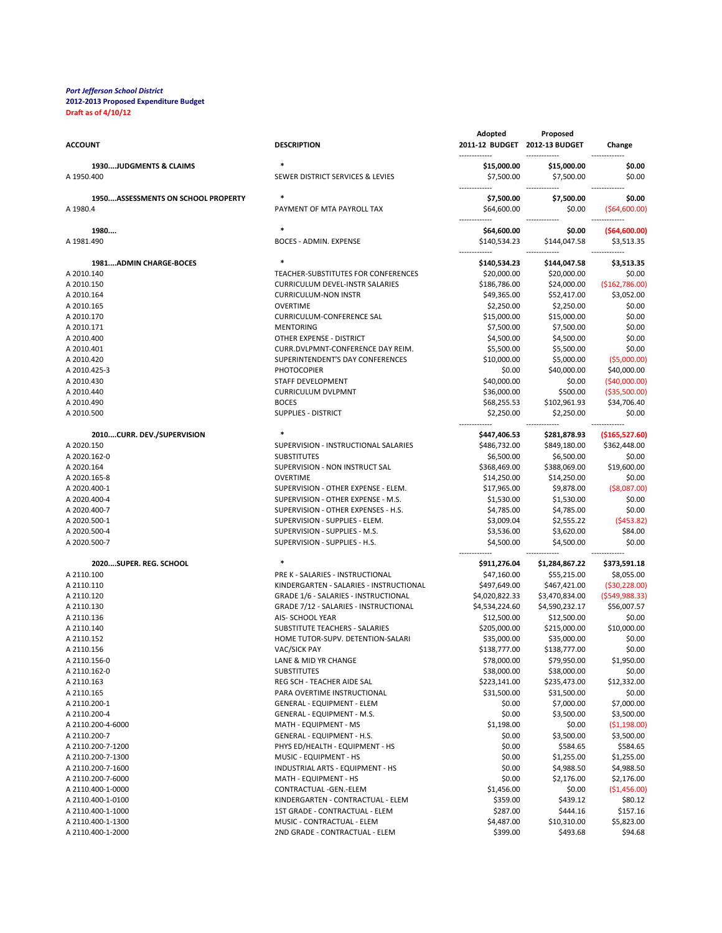| <b>ACCOUNT</b>                     | <b>DESCRIPTION</b>                                                    | Adopted<br>2011-12 BUDGET 2012-13 BUDGET | Proposed                  | Change                        |
|------------------------------------|-----------------------------------------------------------------------|------------------------------------------|---------------------------|-------------------------------|
| 1930JUDGMENTS & CLAIMS             | $\ast$                                                                | \$15,000.00                              | \$15,000.00               | \$0.00                        |
| A 1950.400                         | SEWER DISTRICT SERVICES & LEVIES                                      | \$7,500.00                               | \$7,500.00                | \$0.00                        |
| 1950ASSESSMENTS ON SCHOOL PROPERTY | $\ast$                                                                | \$7,500.00                               | \$7,500.00                | \$0.00                        |
| A 1980.4                           | PAYMENT OF MTA PAYROLL TAX                                            | \$64,600.00                              | \$0.00                    | ( \$64,600.00)                |
| 1980                               | $\ast$                                                                |                                          |                           |                               |
| A 1981.490                         | BOCES - ADMIN. EXPENSE                                                | \$64,600.00<br>\$140,534.23              | \$0.00<br>\$144,047.58    | ( \$64, 600.00]<br>\$3,513.35 |
|                                    |                                                                       |                                          |                           |                               |
| 1981ADMIN CHARGE-BOCES             | $\ast$                                                                | \$140,534.23                             | \$144,047.58              | \$3,513.35                    |
| A 2010.140                         | TEACHER-SUBSTITUTES FOR CONFERENCES                                   | \$20,000.00                              | \$20,000.00               | \$0.00                        |
| A 2010.150                         | <b>CURRICULUM DEVEL-INSTR SALARIES</b>                                | \$186,786.00                             | \$24,000.00               | ( \$162, 786.00]              |
| A 2010.164                         | <b>CURRICULUM-NON INSTR</b>                                           | \$49,365.00                              | \$52,417.00               | \$3,052.00                    |
| A 2010.165                         | <b>OVERTIME</b>                                                       | \$2,250.00                               | \$2,250.00                | \$0.00                        |
| A 2010.170                         | <b>CURRICULUM-CONFERENCE SAL</b>                                      | \$15,000.00                              | \$15,000.00               | \$0.00                        |
| A 2010.171                         | <b>MENTORING</b>                                                      | \$7,500.00                               | \$7,500.00                | \$0.00                        |
| A 2010.400                         | OTHER EXPENSE - DISTRICT                                              | \$4,500.00                               | \$4,500.00                | \$0.00                        |
| A 2010.401                         | CURR.DVLPMNT-CONFERENCE DAY REIM.<br>SUPERINTENDENT'S DAY CONFERENCES | \$5,500.00                               | \$5,500.00                | \$0.00<br>( \$5,000.00]       |
| A 2010.420<br>A 2010.425-3         | <b>PHOTOCOPIER</b>                                                    | \$10,000.00<br>\$0.00                    | \$5,000.00<br>\$40,000.00 | \$40,000.00                   |
| A 2010.430                         | STAFF DEVELOPMENT                                                     | \$40,000.00                              | \$0.00                    | (\$40,000.00)                 |
| A 2010.440                         | <b>CURRICULUM DVLPMNT</b>                                             | \$36,000.00                              | \$500.00                  | ( \$35,500.00)                |
| A 2010.490                         | <b>BOCES</b>                                                          | \$68,255.53                              | \$102,961.93              | \$34,706.40                   |
| A 2010.500                         | <b>SUPPLIES - DISTRICT</b>                                            | \$2,250.00                               | \$2,250.00                | \$0.00                        |
|                                    |                                                                       |                                          |                           |                               |
| 2010CURR. DEV./SUPERVISION         | $\ast$                                                                | \$447,406.53                             | \$281,878.93              | ( \$165, 527.60]              |
| A 2020.150                         | SUPERVISION - INSTRUCTIONAL SALARIES                                  | \$486,732.00                             | \$849,180.00              | \$362,448.00                  |
| A 2020.162-0                       | <b>SUBSTITUTES</b>                                                    | \$6,500.00                               | \$6,500.00                | \$0.00                        |
| A 2020.164                         | SUPERVISION - NON INSTRUCT SAL                                        | \$368,469.00                             | \$388,069.00              | \$19,600.00                   |
| A 2020.165-8                       | <b>OVERTIME</b>                                                       | \$14,250.00                              | \$14,250.00               | \$0.00                        |
| A 2020.400-1                       | SUPERVISION - OTHER EXPENSE - ELEM.                                   | \$17,965.00                              | \$9,878.00                | ( \$8,087.00)                 |
| A 2020.400-4                       | SUPERVISION - OTHER EXPENSE - M.S.                                    | \$1,530.00                               | \$1,530.00                | \$0.00                        |
| A 2020.400-7                       | SUPERVISION - OTHER EXPENSES - H.S.                                   | \$4,785.00                               | \$4,785.00                | \$0.00                        |
| A 2020.500-1                       | SUPERVISION - SUPPLIES - ELEM.                                        | \$3,009.04                               | \$2,555.22                | (5453.82)                     |
| A 2020.500-4                       | SUPERVISION - SUPPLIES - M.S.                                         | \$3,536.00                               | \$3,620.00                | \$84.00                       |
| A 2020.500-7                       | SUPERVISION - SUPPLIES - H.S.                                         | \$4,500.00                               | \$4,500.00                | \$0.00                        |
| 2020SUPER. REG. SCHOOL             | $\ast$                                                                | \$911,276.04                             | \$1,284,867.22            | \$373,591.18                  |
| A 2110.100                         | PRE K - SALARIES - INSTRUCTIONAL                                      | \$47,160.00                              | \$55,215.00               | \$8,055.00                    |
| A 2110.110                         | KINDERGARTEN - SALARIES - INSTRUCTIONAL                               | \$497,649.00                             | \$467,421.00              | ( \$30, 228.00)               |
| A 2110.120                         | <b>GRADE 1/6 - SALARIES - INSTRUCTIONAL</b>                           | \$4,020,822.33                           | \$3,470,834.00            | ( \$549, 988.33)              |
| A 2110.130                         | GRADE 7/12 - SALARIES - INSTRUCTIONAL                                 | \$4,534,224.60                           | \$4,590,232.17            | \$56,007.57                   |
| A 2110.136                         | AIS- SCHOOL YEAR                                                      | \$12,500.00                              | \$12,500.00               | \$0.00                        |
| A 2110.140                         | SUBSTITUTE TEACHERS - SALARIES                                        | \$205,000.00                             | \$215,000.00              | \$10,000.00                   |
| A 2110.152                         | HOME TUTOR-SUPV. DETENTION-SALARI                                     | \$35,000.00                              | \$35,000.00               | \$0.00                        |
| A 2110.156                         | VAC/SICK PAY                                                          | \$138,777.00                             | \$138,777.00              | \$0.00                        |
| A 2110.156-0                       | LANE & MID YR CHANGE                                                  | \$78,000.00                              | \$79,950.00               | \$1,950.00                    |
| A 2110.162-0                       | <b>SUBSTITUTES</b>                                                    | \$38,000.00                              | \$38,000.00               | \$0.00                        |
| A 2110.163                         | REG SCH - TEACHER AIDE SAL                                            | \$223,141.00                             | \$235,473.00              | \$12,332.00                   |
| A 2110.165                         | PARA OVERTIME INSTRUCTIONAL                                           | \$31,500.00                              | \$31,500.00               | \$0.00                        |
| A 2110.200-1                       | <b>GENERAL - EQUIPMENT - ELEM</b>                                     | \$0.00                                   | \$7,000.00                | \$7,000.00                    |
| A 2110.200-4                       | GENERAL - EQUIPMENT - M.S.                                            | \$0.00                                   | \$3,500.00                | \$3,500.00                    |
| A 2110.200-4-6000                  | MATH - EQUIPMENT - MS                                                 | \$1,198.00                               | \$0.00                    | ( \$1,198.00)                 |
| A 2110.200-7<br>A 2110.200-7-1200  | GENERAL - EQUIPMENT - H.S.<br>PHYS ED/HEALTH - EQUIPMENT - HS         | \$0.00<br>\$0.00                         | \$3,500.00<br>\$584.65    | \$3,500.00<br>\$584.65        |
| A 2110.200-7-1300                  | MUSIC - EQUIPMENT - HS                                                | \$0.00                                   | \$1,255.00                | \$1,255.00                    |
| A 2110.200-7-1600                  | INDUSTRIAL ARTS - EQUIPMENT - HS                                      | \$0.00                                   | \$4,988.50                | \$4,988.50                    |
| A 2110.200-7-6000                  | MATH - EQUIPMENT - HS                                                 | \$0.00                                   | \$2,176.00                | \$2,176.00                    |
| A 2110.400-1-0000                  | CONTRACTUAL - GEN. - ELEM                                             | \$1,456.00                               | \$0.00                    | ( \$1,456.00)                 |
| A 2110.400-1-0100                  | KINDERGARTEN - CONTRACTUAL - ELEM                                     | \$359.00                                 | \$439.12                  | \$80.12                       |
| A 2110.400-1-1000                  | 1ST GRADE - CONTRACTUAL - ELEM                                        | \$287.00                                 | \$444.16                  | \$157.16                      |
| A 2110.400-1-1300                  | MUSIC - CONTRACTUAL - ELEM                                            | \$4,487.00                               | \$10,310.00               | \$5,823.00                    |
| A 2110.400-1-2000                  | 2ND GRADE - CONTRACTUAL - ELEM                                        | \$399.00                                 | \$493.68                  | \$94.68                       |
|                                    |                                                                       |                                          |                           |                               |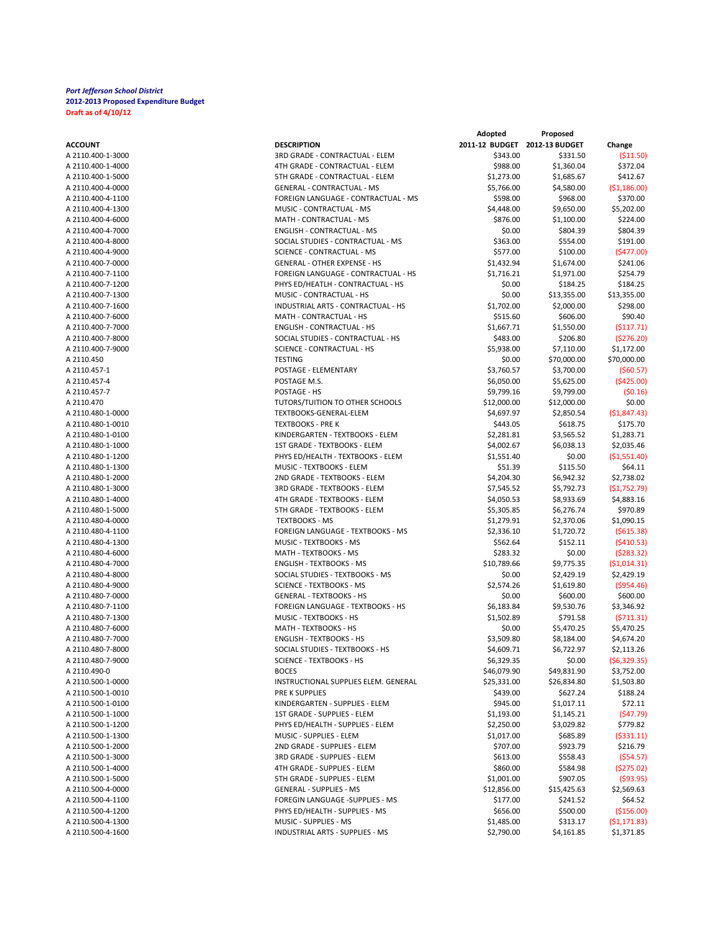| ACCOUNT           |
|-------------------|
| A 2110.400-1-3000 |
| A 2110.400-1-4000 |
| A 2110.400-1-5000 |
| A 2110.400-4-0000 |
| A 2110.400-4-1100 |
| A 2110.400-4-1300 |
| A 2110.400-4-6000 |
| A 2110.400-4-7000 |
| A 2110.400-4-8000 |
| A 2110.400-4-9000 |
| A 2110.400-7-0000 |
| A 2110.400-7-1100 |
| A 2110.400-7-1200 |
| A 2110.400-7-1300 |
| A 2110.400-7-1600 |
| A 2110.400-7-6000 |
|                   |
| A 2110.400-7-7000 |
| A 2110.400-7-8000 |
| A 2110.400-7-9000 |
| A 2110.450        |
| A 2110.457-1      |
| A 2110.457-4      |
| A 2110.457-7      |
| A 2110.470        |
| A 2110.480-1-0000 |
| A 2110.480-1-0010 |
| A 2110.480-1-0100 |
| A 2110.480-1-1000 |
| A 2110.480-1-1200 |
| A 2110.480-1-1300 |
| A 2110.480-1-2000 |
| A 2110.480-1-3000 |
| A 2110.480-1-4000 |
| A 2110.480-1-5000 |
| A 2110.480-4-0000 |
| A 2110.480-4-1100 |
| A 2110.480-4-1300 |
| A 2110.480-4-6000 |
| A 2110.480-4-7000 |
| A 2110.480-4-8000 |
| A 2110.480-4-9000 |
| A 2110.480-7-0000 |
| A 2110.480-7-1100 |
| A 2110.480-7-1300 |
| A 2110.480-7-6000 |
| A 2110.480-7-7000 |
| A 2110.480-7-8000 |
| A 2110.480-7-9000 |
| 2110 490-0<br>А   |
| A 2110.500-1-0000 |
| A 2110.500-1-0010 |
| A 2110.500-1-0100 |
| A 2110.500-1-1000 |
| A 2110.500-1-1200 |
| A 2110.500-1-1300 |
| A 2110.500-1-2000 |
|                   |
| A 2110.500-1-3000 |
| A 2110.500-1-4000 |
| A 2110.500-1-5000 |
| A 2110.500-4-0000 |
| A 2110.500-4-1100 |
| A 2110.500-4-1200 |
| A 2110.500-4-1300 |
| A 2110.500-4-1600 |

|                   |                                      | Adopted                       | Proposed    |               |
|-------------------|--------------------------------------|-------------------------------|-------------|---------------|
| ACCOUNT           | <b>DESCRIPTION</b>                   | 2011-12 BUDGET 2012-13 BUDGET |             | Change        |
| A 2110.400-1-3000 | 3RD GRADE - CONTRACTUAL - ELEM       | \$343.00                      | \$331.50    | ( \$11.50)    |
| A 2110.400-1-4000 | 4TH GRADE - CONTRACTUAL - ELEM       | \$988.00                      | \$1,360.04  | \$372.04      |
| A 2110.400-1-5000 | 5TH GRADE - CONTRACTUAL - ELEM       | \$1,273.00                    | \$1,685.67  | \$412.67      |
| A 2110.400-4-0000 | GENERAL - CONTRACTUAL - MS           | \$5,766.00                    | \$4,580.00  | ( \$1,186.00) |
| A 2110.400-4-1100 | FOREIGN LANGUAGE - CONTRACTUAL - MS  | \$598.00                      | \$968.00    | \$370.00      |
| A 2110.400-4-1300 | MUSIC - CONTRACTUAL - MS             | \$4,448.00                    | \$9,650.00  | \$5,202.00    |
| A 2110.400-4-6000 | MATH - CONTRACTUAL - MS              | \$876.00                      | \$1,100.00  | \$224.00      |
| A 2110.400-4-7000 | ENGLISH - CONTRACTUAL - MS           | \$0.00                        | \$804.39    | \$804.39      |
| A 2110.400-4-8000 | SOCIAL STUDIES - CONTRACTUAL - MS    | \$363.00                      | \$554.00    | \$191.00      |
| A 2110.400-4-9000 | <b>SCIENCE - CONTRACTUAL - MS</b>    | \$577.00                      | \$100.00    | (5477.00)     |
| A 2110.400-7-0000 | <b>GENERAL - OTHER EXPENSE - HS</b>  | \$1,432.94                    | \$1,674.00  | \$241.06      |
| A 2110.400-7-1100 | FOREIGN LANGUAGE - CONTRACTUAL - HS  | \$1,716.21                    | \$1,971.00  | \$254.79      |
| A 2110.400-7-1200 | PHYS ED/HEATLH - CONTRACTUAL - HS    | \$0.00                        | \$184.25    | \$184.25      |
| A 2110.400-7-1300 | MUSIC - CONTRACTUAL - HS             | \$0.00                        |             | \$13,355.00   |
|                   |                                      |                               | \$13,355.00 |               |
| A 2110.400-7-1600 | INDUSTRIAL ARTS - CONTRACTUAL - HS   | \$1,702.00                    | \$2,000.00  | \$298.00      |
| A 2110.400-7-6000 | MATH - CONTRACTUAL - HS              | \$515.60                      | \$606.00    | \$90.40       |
| A 2110.400-7-7000 | ENGLISH - CONTRACTUAL - HS           | \$1,667.71                    | \$1,550.00  | (5117.71)     |
| A 2110.400-7-8000 | SOCIAL STUDIES - CONTRACTUAL - HS    | \$483.00                      | \$206.80    | ( \$276.20)   |
| A 2110.400-7-9000 | SCIENCE - CONTRACTUAL - HS           | \$5,938.00                    | \$7,110.00  | \$1,172.00    |
| A 2110.450        | <b>TESTING</b>                       | \$0.00                        | \$70,000.00 | \$70,000.00   |
| A 2110.457-1      | POSTAGE - ELEMENTARY                 | \$3,760.57                    | \$3,700.00  | (560.57)      |
| A 2110.457-4      | POSTAGE M.S.                         | \$6,050.00                    | \$5,625.00  | ( \$425.00]   |
| A 2110.457-7      | POSTAGE - HS                         | \$9,799.16                    | \$9,799.00  | (50.16)       |
| A 2110.470        | TUTORS/TUITION TO OTHER SCHOOLS      | \$12,000.00                   | \$12,000.00 | \$0.00        |
| A 2110.480-1-0000 | TEXTBOOKS-GENERAL-ELEM               | \$4,697.97                    | \$2,850.54  | (51, 847.43)  |
| A 2110.480-1-0010 | <b>TEXTBOOKS - PRE K</b>             | \$443.05                      | \$618.75    | \$175.70      |
| A 2110.480-1-0100 | KINDERGARTEN - TEXTBOOKS - ELEM      | \$2,281.81                    | \$3,565.52  | \$1,283.71    |
| A 2110.480-1-1000 | 1ST GRADE - TEXTBOOKS - ELEM         | \$4,002.67                    | \$6,038.13  | \$2,035.46    |
| A 2110.480-1-1200 | PHYS ED/HEALTH - TEXTBOOKS - ELEM    | \$1,551.40                    | \$0.00      | ( \$1,551.40) |
| A 2110.480-1-1300 | MUSIC - TEXTBOOKS - ELEM             | \$51.39                       | \$115.50    | \$64.11       |
| A 2110.480-1-2000 | 2ND GRADE - TEXTBOOKS - ELEM         | \$4,204.30                    | \$6,942.32  | \$2,738.02    |
| A 2110.480-1-3000 | 3RD GRADE - TEXTBOOKS - ELEM         | \$7,545.52                    | \$5,792.73  | (51,752.79)   |
| A 2110.480-1-4000 | 4TH GRADE - TEXTBOOKS - ELEM         | \$4,050.53                    | \$8,933.69  | \$4,883.16    |
| A 2110.480-1-5000 | 5TH GRADE - TEXTBOOKS - ELEM         | \$5,305.85                    | \$6,276.74  | \$970.89      |
| A 2110.480-4-0000 | <b>TEXTBOOKS - MS</b>                | \$1,279.91                    | \$2,370.06  | \$1,090.15    |
| A 2110.480-4-1100 | FOREIGN LANGUAGE - TEXTBOOKS - MS    | \$2,336.10                    | \$1,720.72  | (5615.38)     |
| A 2110.480-4-1300 | MUSIC - TEXTBOOKS - MS               | \$562.64                      | \$152.11    | (5410.53)     |
| A 2110.480-4-6000 | MATH - TEXTBOOKS - MS                | \$283.32                      | \$0.00      | (5283.32)     |
| A 2110.480-4-7000 | <b>ENGLISH - TEXTBOOKS - MS</b>      | \$10,789.66                   | \$9,775.35  | ( \$1,014.31) |
| A 2110.480-4-8000 | SOCIAL STUDIES - TEXTBOOKS - MS      |                               |             |               |
|                   |                                      | \$0.00                        | \$2,429.19  | \$2,429.19    |
| A 2110.480-4-9000 | <b>SCIENCE - TEXTBOOKS - MS</b>      | \$2,574.26                    | \$1,619.80  | ( \$954.46)   |
| A 2110.480-7-0000 | <b>GENERAL - TEXTBOOKS - HS</b>      | \$0.00                        | \$600.00    | \$600.00      |
| A 2110.480-7-1100 | FOREIGN LANGUAGE - TEXTBOOKS - HS    | \$6,183.84                    | \$9,530.76  | \$3,346.92    |
| A 2110.480-7-1300 | MUSIC - TEXTBOOKS - HS               | \$1,502.89                    | \$791.58    | (5711.31)     |
| A 2110.480-7-6000 | MATH - TEXTBOOKS - HS                | \$0.00                        | \$5,470.25  | \$5,470.25    |
| A 2110.480-7-7000 | <b>ENGLISH - TEXTBOOKS - HS</b>      | \$3,509.80                    | \$8,184.00  | \$4,674.20    |
| A 2110.480-7-8000 | SOCIAL STUDIES - TEXTBOOKS - HS      | \$4,609.71                    | \$6,722.97  | \$2,113.26    |
| A 2110.480-7-9000 | <b>SCIENCE - TEXTBOOKS - HS</b>      | \$6,329.35                    | \$0.00      | (56,329.35)   |
| A 2110.490-0      | <b>BOCES</b>                         | \$46,079.90                   | \$49,831.90 | \$3,752.00    |
| A 2110.500-1-0000 | INSTRUCTIONAL SUPPLIES ELEM. GENERAL | \$25,331.00                   | \$26,834.80 | \$1,503.80    |
| A 2110.500-1-0010 | PRE K SUPPLIES                       | \$439.00                      | \$627.24    | \$188.24      |
| A 2110.500-1-0100 | KINDERGARTEN - SUPPLIES - ELEM       | \$945.00                      | \$1,017.11  | \$72.11       |
| A 2110.500-1-1000 | 1ST GRADE - SUPPLIES - ELEM          | \$1,193.00                    | \$1,145.21  | (547.79)      |
| A 2110.500-1-1200 | PHYS ED/HEALTH - SUPPLIES - ELEM     | \$2,250.00                    | \$3,029.82  | \$779.82      |
| A 2110.500-1-1300 | MUSIC - SUPPLIES - ELEM              | \$1,017.00                    | \$685.89    | ( \$331.11)   |
| A 2110.500-1-2000 | 2ND GRADE - SUPPLIES - ELEM          | \$707.00                      | \$923.79    | \$216.79      |
| A 2110.500-1-3000 | 3RD GRADE - SUPPLIES - ELEM          | \$613.00                      | \$558.43    | ( \$54.57)    |
| A 2110.500-1-4000 | 4TH GRADE - SUPPLIES - ELEM          | \$860.00                      | \$584.98    | (5275.02)     |
| A 2110.500-1-5000 | 5TH GRADE - SUPPLIES - ELEM          | \$1,001.00                    | \$907.05    | ( \$93.95)    |
| A 2110.500-4-0000 | <b>GENERAL - SUPPLIES - MS</b>       | \$12,856.00                   | \$15,425.63 | \$2,569.63    |
| A 2110.500-4-1100 | FOREGIN LANGUAGE -SUPPLIES - MS      | \$177.00                      | \$241.52    | \$64.52       |
| A 2110.500-4-1200 | PHYS ED/HEALTH - SUPPLIES - MS       | \$656.00                      | \$500.00    | (\$156.00)    |
| A 2110.500-4-1300 | MUSIC - SUPPLIES - MS                | \$1,485.00                    | \$313.17    | (51, 171.83)  |
| A 2110.500-4-1600 | INDUSTRIAL ARTS - SUPPLIES - MS      | \$2,790.00                    | \$4,161.85  | \$1,371.85    |
|                   |                                      |                               |             |               |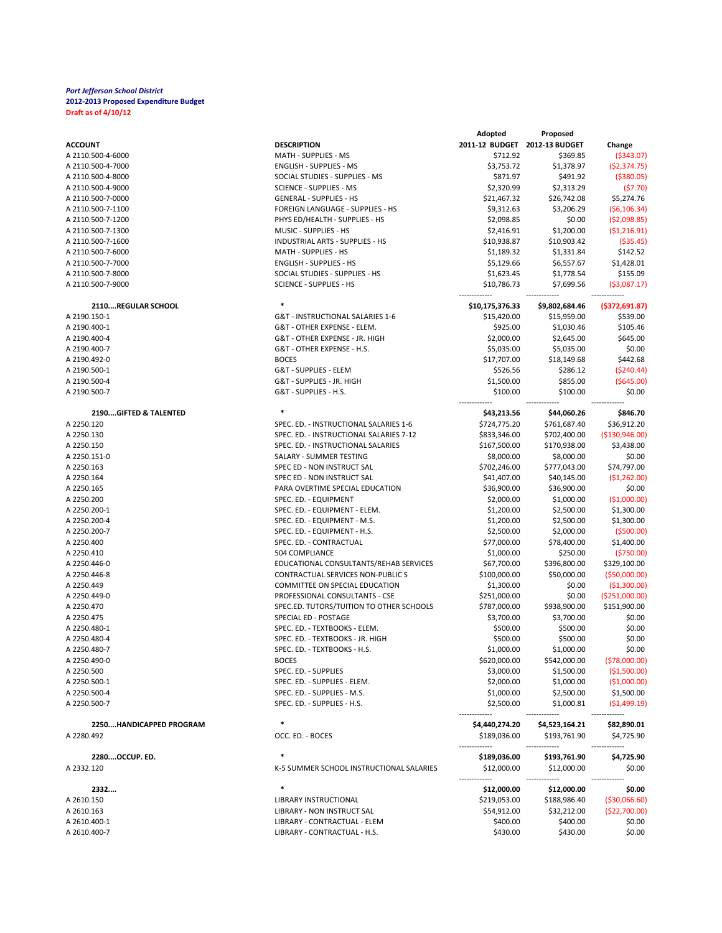|                              |                                                    | Adopted                       | Proposed                    |                      |
|------------------------------|----------------------------------------------------|-------------------------------|-----------------------------|----------------------|
| <b>ACCOUNT</b>               | <b>DESCRIPTION</b>                                 | 2011-12 BUDGET 2012-13 BUDGET |                             | Change               |
| A 2110.500-4-6000            | MATH - SUPPLIES - MS                               | \$712.92                      | \$369.85                    | ( \$343.07)          |
| A 2110.500-4-7000            | <b>ENGLISH - SUPPLIES - MS</b>                     | \$3,753.72                    | \$1,378.97                  | (52, 374.75)         |
| A 2110.500-4-8000            | SOCIAL STUDIES - SUPPLIES - MS                     | \$871.97                      | \$491.92                    | ( \$380.05)          |
| A 2110.500-4-9000            | <b>SCIENCE - SUPPLIES - MS</b>                     | \$2,320.99                    | \$2,313.29                  | (57.70)              |
| A 2110.500-7-0000            | <b>GENERAL - SUPPLIES - HS</b>                     | \$21,467.32                   | \$26,742.08                 | \$5,274.76           |
| A 2110.500-7-1100            | FOREIGN LANGUAGE - SUPPLIES - HS                   | \$9,312.63                    | \$3,206.29                  | (56, 106.34)         |
| A 2110.500-7-1200            | PHYS ED/HEALTH - SUPPLIES - HS                     | \$2,098.85                    | \$0.00                      | (52,098.85)          |
| A 2110.500-7-1300            | MUSIC - SUPPLIES - HS                              | \$2,416.91                    | \$1,200.00                  | (51, 216.91)         |
| A 2110.500-7-1600            | INDUSTRIAL ARTS - SUPPLIES - HS                    | \$10,938.87                   | \$10,903.42                 | ( \$35.45)           |
| A 2110.500-7-6000            | MATH - SUPPLIES - HS                               | \$1,189.32                    | \$1,331.84                  | \$142.52             |
| A 2110.500-7-7000            | <b>ENGLISH - SUPPLIES - HS</b>                     | \$5,129.66                    | \$6,557.67                  | \$1,428.01           |
| A 2110.500-7-8000            | SOCIAL STUDIES - SUPPLIES - HS                     | \$1,623.45                    | \$1,778.54                  | \$155.09             |
| A 2110.500-7-9000            | <b>SCIENCE - SUPPLIES - HS</b>                     | \$10,786.73                   | \$7,699.56                  | ( \$3,087.17)        |
| 2110REGULAR SCHOOL           | $\ast$                                             | \$10,175,376.33               | \$9,802,684.46              | ( \$372, 691.87)     |
| A 2190.150-1                 | G&T - INSTRUCTIONAL SALARIES 1-6                   | \$15,420.00                   | \$15,959.00                 | \$539.00             |
| A 2190.400-1                 | G&T - OTHER EXPENSE - ELEM.                        | \$925.00                      | \$1,030.46                  | \$105.46             |
| A 2190.400-4                 | G&T - OTHER EXPENSE - JR. HIGH                     | \$2,000.00                    | \$2,645.00                  | \$645.00             |
| A 2190.400-7                 | G&T - OTHER EXPENSE - H.S.                         | \$5,035.00                    | \$5,035.00                  | \$0.00               |
| A 2190.492-0                 | <b>BOCES</b>                                       | \$17,707.00                   | \$18,149.68                 | \$442.68             |
| A 2190.500-1                 | G&T - SUPPLIES - ELEM                              | \$526.56                      | \$286.12                    | ( \$240.44)          |
| A 2190.500-4                 | G&T - SUPPLIES - JR. HIGH                          | \$1,500.00                    | \$855.00                    | ( \$645.00)          |
| A 2190.500-7                 | G&T - SUPPLIES - H.S.                              | \$100.00                      | \$100.00                    | \$0.00               |
| 2190GIFTED & TALENTED        | $\ast$                                             | \$43,213.56                   | \$44,060.26                 | \$846.70             |
| A 2250.120                   | SPEC. ED. - INSTRUCTIONAL SALARIES 1-6             | \$724,775.20                  | \$761,687.40                | \$36,912.20          |
| A 2250.130                   | SPEC. ED. - INSTRUCTIONAL SALARIES 7-12            | \$833,346.00                  | \$702,400.00                | ( \$130, 946.00)     |
| A 2250.150                   | SPEC. ED. - INSTRUCTIONAL SALARIES                 | \$167,500.00                  | \$170,938.00                | \$3,438.00           |
| A 2250.151-0                 | SALARY - SUMMER TESTING                            | \$8,000.00                    | \$8,000.00                  | \$0.00               |
| A 2250.163                   | SPEC ED - NON INSTRUCT SAL                         | \$702,246.00                  | \$777,043.00                | \$74,797.00          |
| A 2250.164                   | SPEC ED - NON INSTRUCT SAL                         | \$41,407.00                   | \$40,145.00                 | ( \$1,262.00)        |
| A 2250.165                   | PARA OVERTIME SPECIAL EDUCATION                    | \$36,900.00                   | \$36,900.00                 | \$0.00               |
| A 2250.200                   | SPEC. ED. - EQUIPMENT                              | \$2,000.00                    | \$1,000.00                  | (\$1,000.00]         |
| A 2250.200-1                 | SPEC. ED. - EQUIPMENT - ELEM.                      | \$1,200.00                    | \$2,500.00                  | \$1,300.00           |
| A 2250.200-4                 | SPEC. ED. - EQUIPMENT - M.S.                       | \$1,200.00                    | \$2,500.00                  | \$1,300.00           |
| A 2250.200-7                 | SPEC. ED. - EQUIPMENT - H.S.                       | \$2,500.00                    | \$2,000.00                  | (5500.00)            |
| A 2250.400                   | SPEC. ED. - CONTRACTUAL                            | \$77,000.00                   | \$78,400.00                 | \$1,400.00           |
| A 2250.410                   | 504 COMPLIANCE                                     | \$1,000.00                    | \$250.00                    | ( \$750.00]          |
| A 2250.446-0                 | EDUCATIONAL CONSULTANTS/REHAB SERVICES             | \$67,700.00                   | \$396,800.00                | \$329,100.00         |
| A 2250.446-8                 | <b>CONTRACTUAL SERVICES NON-PUBLIC S</b>           | \$100,000.00                  | \$50,000.00                 | ( \$50,000.00]       |
| A 2250.449                   | <b>COMMITTEE ON SPECIAL EDUCATION</b>              | \$1,300.00                    | \$0.00                      | ( \$1,300.00]        |
| A 2250.449-0                 | PROFESSIONAL CONSULTANTS - CSE                     | \$251,000.00                  | \$0.00                      | ( \$251,000.00]      |
| A 2250.470                   | SPEC.ED. TUTORS/TUITION TO OTHER SCHOOLS           | \$787,000.00                  | \$938,900.00                | \$151,900.00         |
| A 2250.475                   | SPECIAL ED - POSTAGE                               | \$3,700.00                    | \$3,700.00                  | \$0.00               |
| A 2250.480-1                 | SPEC. ED. - TEXTBOOKS - ELEM.                      | \$500.00                      | \$500.00                    | \$0.00               |
| A 2250.480-4                 | SPEC. ED. - TEXTBOOKS - JR. HIGH                   | \$500.00                      | \$500.00                    | \$0.00               |
| A 2250.480-7                 | SPEC. ED. - TEXTBOOKS - H.S.                       | \$1,000.00                    | \$1,000.00                  | \$0.00               |
| A 2250.490-0                 | <b>BOCES</b>                                       | \$620,000.00                  | \$542,000.00                | ( \$78,000.00]       |
| A 2250.500                   | SPEC. ED. - SUPPLIES                               | \$3,000.00                    | \$1,500.00                  | (\$1,500.00)         |
| A 2250.500-1                 | SPEC. ED. - SUPPLIES - ELEM.                       | \$2,000.00                    | \$1,000.00                  | ( \$1,000.00]        |
| A 2250.500-4                 | SPEC. ED. - SUPPLIES - M.S.                        | \$1,000.00                    | \$2,500.00                  | \$1,500.00           |
| A 2250.500-7                 | SPEC. ED. - SUPPLIES - H.S.                        | \$2,500.00                    | \$1,000.81                  | ( \$1,499.19)        |
| 2250HANDICAPPED PROGRAM      | $\ast$                                             | \$4,440,274.20                | \$4,523,164.21              | \$82,890.01          |
| A 2280.492                   | OCC. ED. - BOCES                                   | \$189,036.00                  | \$193,761.90                | \$4,725.90           |
|                              |                                                    |                               |                             |                      |
| 2280OCCUP. ED.<br>A 2332.120 | $\ast$<br>K-5 SUMMER SCHOOL INSTRUCTIONAL SALARIES | \$189,036.00<br>\$12,000.00   | \$193,761.90<br>\$12,000.00 | \$4,725.90<br>\$0.00 |
|                              |                                                    |                               |                             |                      |
| 2332                         | $\ast$                                             | \$12,000.00                   | \$12,000.00                 | \$0.00               |
| A 2610.150                   | LIBRARY INSTRUCTIONAL                              | \$219,053.00                  | \$188,986.40                | ( \$30,066.60)       |
| A 2610.163                   | LIBRARY - NON INSTRUCT SAL                         | \$54,912.00                   | \$32,212.00                 | ( \$22,700.00]       |
| A 2610.400-1                 | LIBRARY - CONTRACTUAL - ELEM                       | \$400.00                      | \$400.00                    | \$0.00               |
| A 2610.400-7                 | LIBRARY - CONTRACTUAL - H.S.                       | \$430.00                      | \$430.00                    | \$0.00               |
|                              |                                                    |                               |                             |                      |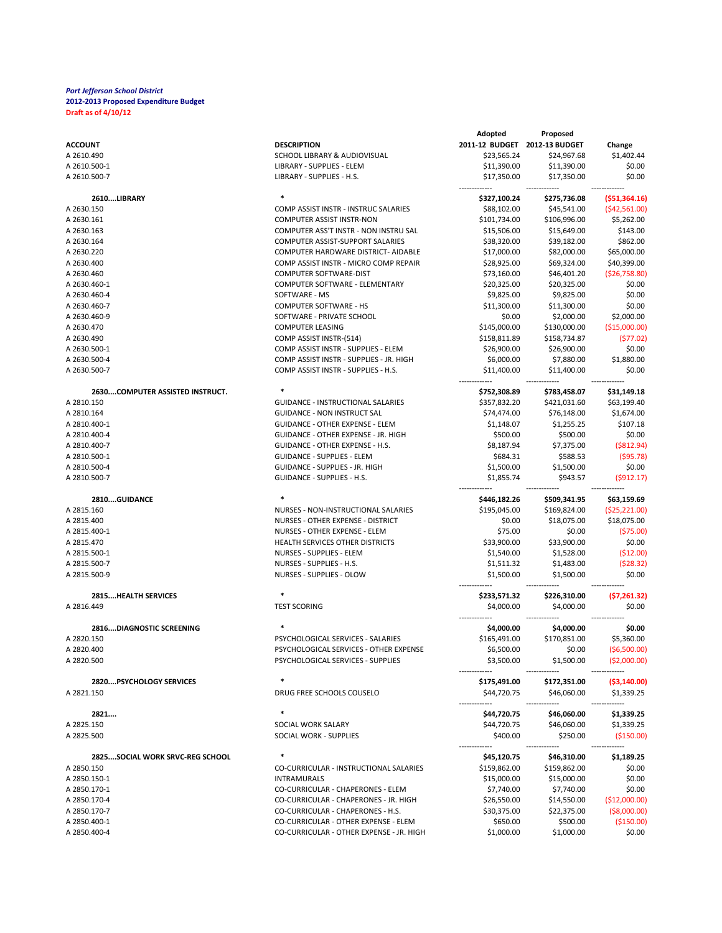|                                 |                                          | Adopted                       | Proposed     |                 |
|---------------------------------|------------------------------------------|-------------------------------|--------------|-----------------|
| <b>ACCOUNT</b>                  | <b>DESCRIPTION</b>                       | 2011-12 BUDGET 2012-13 BUDGET |              | Change          |
| A 2610.490                      | SCHOOL LIBRARY & AUDIOVISUAL             | \$23,565.24                   | \$24,967.68  | \$1,402.44      |
| A 2610.500-1                    | LIBRARY - SUPPLIES - ELEM                | \$11,390.00                   | \$11,390.00  | \$0.00          |
| A 2610.500-7                    | LIBRARY - SUPPLIES - H.S.                | \$17,350.00                   | \$17,350.00  | \$0.00          |
|                                 |                                          |                               |              |                 |
| 2610LIBRARY                     | $\ast$                                   | \$327,100.24                  | \$275,736.08 | ( \$51,364.16)  |
| A 2630.150                      | COMP ASSIST INSTR - INSTRUC SALARIES     | \$88,102.00                   | \$45,541.00  | (\$42,561.00)   |
| A 2630.161                      | <b>COMPUTER ASSIST INSTR-NON</b>         | \$101,734.00                  | \$106,996.00 | \$5,262.00      |
| A 2630.163                      | COMPUTER ASS'T INSTR - NON INSTRU SAL    | \$15,506.00                   | \$15,649.00  | \$143.00        |
| A 2630.164                      | COMPUTER ASSIST-SUPPORT SALARIES         | \$38,320.00                   | \$39,182.00  | \$862.00        |
| A 2630.220                      | COMPUTER HARDWARE DISTRICT- AIDABLE      | \$17,000.00                   | \$82,000.00  | \$65,000.00     |
| A 2630.400                      | COMP ASSIST INSTR - MICRO COMP REPAIR    | \$28,925.00                   | \$69,324.00  | \$40,399.00     |
|                                 |                                          |                               |              |                 |
| A 2630.460                      | COMPUTER SOFTWARE-DIST                   | \$73,160.00                   | \$46,401.20  | ( \$26,758.80)  |
| A 2630.460-1                    | COMPUTER SOFTWARE - ELEMENTARY           | \$20,325.00                   | \$20,325.00  | \$0.00          |
| A 2630.460-4                    | SOFTWARE - MS                            | \$9,825.00                    | \$9,825.00   | \$0.00          |
| A 2630.460-7                    | <b>COMPUTER SOFTWARE - HS</b>            | \$11,300.00                   | \$11,300.00  | \$0.00          |
| A 2630.460-9                    | SOFTWARE - PRIVATE SCHOOL                | \$0.00                        | \$2,000.00   | \$2,000.00      |
| A 2630.470                      | <b>COMPUTER LEASING</b>                  | \$145,000.00                  | \$130,000.00 | (\$15,000.00]   |
| A 2630.490                      | COMP ASSIST INSTR-(514)                  | \$158,811.89                  | \$158,734.87 | (577.02)        |
| A 2630.500-1                    | COMP ASSIST INSTR - SUPPLIES - ELEM      | \$26,900.00                   | \$26,900.00  | \$0.00          |
| A 2630.500-4                    | COMP ASSIST INSTR - SUPPLIES - JR. HIGH  | \$6,000.00                    | \$7,880.00   | \$1,880.00      |
| A 2630.500-7                    | COMP ASSIST INSTR - SUPPLIES - H.S.      | \$11,400.00                   | \$11,400.00  | \$0.00          |
|                                 |                                          |                               |              |                 |
| 2630COMPUTER ASSISTED INSTRUCT. | $\ast$                                   | \$752,308.89                  | \$783,458.07 | \$31,149.18     |
| A 2810.150                      | <b>GUIDANCE - INSTRUCTIONAL SALARIES</b> | \$357,832.20                  | \$421,031.60 | \$63,199.40     |
| A 2810.164                      | <b>GUIDANCE - NON INSTRUCT SAL</b>       | \$74,474.00                   | \$76,148.00  | \$1,674.00      |
| A 2810.400-1                    | <b>GUIDANCE - OTHER EXPENSE - ELEM</b>   | \$1,148.07                    | \$1,255.25   | \$107.18        |
| A 2810.400-4                    | GUIDANCE - OTHER EXPENSE - JR. HIGH      | \$500.00                      | \$500.00     | \$0.00          |
| A 2810.400-7                    | GUIDANCE - OTHER EXPENSE - H.S.          | \$8,187.94                    | \$7,375.00   | ( \$812.94)     |
| A 2810.500-1                    | <b>GUIDANCE - SUPPLIES - ELEM</b>        | \$684.31                      | \$588.53     | (595.78)        |
| A 2810.500-4                    | GUIDANCE - SUPPLIES - JR. HIGH           | \$1,500.00                    | \$1,500.00   | \$0.00          |
| A 2810.500-7                    | GUIDANCE - SUPPLIES - H.S.               | \$1,855.74                    | \$943.57     | (5912.17)       |
|                                 |                                          |                               |              |                 |
| 2810GUIDANCE                    |                                          | \$446,182.26                  | \$509,341.95 | \$63,159.69     |
| A 2815.160                      | NURSES - NON-INSTRUCTIONAL SALARIES      | \$195,045.00                  | \$169,824.00 | ( \$25, 221.00) |
| A 2815.400                      | NURSES - OTHER EXPENSE - DISTRICT        | \$0.00                        | \$18,075.00  | \$18,075.00     |
| A 2815.400-1                    | NURSES - OTHER EXPENSE - ELEM            | \$75.00                       | \$0.00       | (575.00)        |
|                                 |                                          |                               |              |                 |
| A 2815.470                      | HEALTH SERVICES OTHER DISTRICTS          | \$33,900.00                   | \$33,900.00  | \$0.00          |
| A 2815.500-1                    | NURSES - SUPPLIES - ELEM                 | \$1,540.00                    | \$1,528.00   | ( \$12.00)      |
| A 2815.500-7                    | NURSES - SUPPLIES - H.S.                 | \$1,511.32                    | \$1,483.00   | (528.32)        |
| A 2815.500-9                    | NURSES - SUPPLIES - OLOW                 | \$1,500.00                    | \$1,500.00   | \$0.00          |
|                                 |                                          |                               |              |                 |
| 2815HEALTH SERVICES             |                                          | \$233,571.32                  | \$226,310.00 | (\$7,261.32)    |
| A 2816.449                      | <b>TEST SCORING</b>                      | \$4,000.00                    | \$4,000.00   | \$0.00          |
|                                 |                                          |                               |              |                 |
| 2816DIAGNOSTIC SCREENING        |                                          | \$4,000.00                    | \$4,000.00   | \$0.00          |
| A 2820.150                      | PSYCHOLOGICAL SERVICES - SALARIES        | \$165,491.00                  | \$170,851.00 | \$5,360.00      |
| A 2820.400                      | PSYCHOLOGICAL SERVICES - OTHER EXPENSE   | \$6,500.00                    | \$0.00       | ( \$6,500.00]   |
| A 2820.500                      | PSYCHOLOGICAL SERVICES - SUPPLIES        | \$3,500.00                    | \$1,500.00   | ( \$2,000.00]   |
|                                 | $\ast$                                   | -------------                 |              |                 |
| <b>2820PSYCHOLOGY SERVICES</b>  |                                          | \$175,491.00                  | \$172,351.00 | ( \$3,140.00]   |
| A 2821.150                      | DRUG FREE SCHOOLS COUSELO                | \$44,720.75                   | \$46,060.00  | \$1,339.25      |
|                                 | $\ast$                                   |                               |              |                 |
| 2821                            |                                          | \$44,720.75                   | \$46,060.00  | \$1,339.25      |
| A 2825.150                      | SOCIAL WORK SALARY                       | \$44,720.75                   | \$46,060.00  | \$1,339.25      |
| A 2825.500                      | SOCIAL WORK - SUPPLIES                   | \$400.00                      | \$250.00     | ( \$150.00]     |
| 2825SOCIAL WORK SRVC-REG SCHOOL |                                          |                               | \$46,310.00  | \$1,189.25      |
|                                 |                                          | \$45,120.75                   |              |                 |
| A 2850.150                      | CO-CURRICULAR - INSTRUCTIONAL SALARIES   | \$159,862.00                  | \$159,862.00 | \$0.00          |
| A 2850.150-1                    | <b>INTRAMURALS</b>                       | \$15,000.00                   | \$15,000.00  | \$0.00          |
| A 2850.170-1                    | CO-CURRICULAR - CHAPERONES - ELEM        | \$7,740.00                    | \$7,740.00   | \$0.00          |
| A 2850.170-4                    | CO-CURRICULAR - CHAPERONES - JR. HIGH    | \$26,550.00                   | \$14,550.00  | (\$12,000.00]   |
| A 2850.170-7                    | CO-CURRICULAR - CHAPERONES - H.S.        | \$30,375.00                   | \$22,375.00  | ( \$8,000.00)   |
| A 2850.400-1                    | CO-CURRICULAR - OTHER EXPENSE - ELEM     | \$650.00                      | \$500.00     | ( \$150.00]     |
| A 2850.400-4                    | CO-CURRICULAR - OTHER EXPENSE - JR. HIGH | \$1,000.00                    | \$1,000.00   | \$0.00          |
|                                 |                                          |                               |              |                 |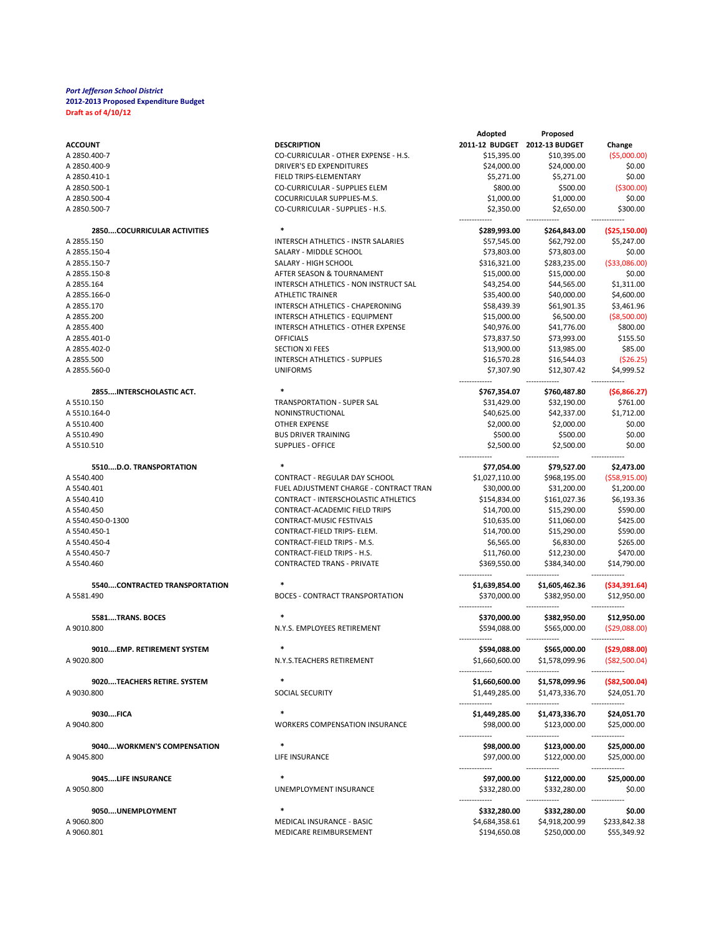|                               |                                        | Adopted                       | Proposed                     |                               |
|-------------------------------|----------------------------------------|-------------------------------|------------------------------|-------------------------------|
| <b>ACCOUNT</b>                | <b>DESCRIPTION</b>                     | 2011-12 BUDGET 2012-13 BUDGET |                              | Change                        |
| A 2850.400-7                  | CO-CURRICULAR - OTHER EXPENSE - H.S.   | \$15,395.00                   | \$10,395.00                  | ( \$5,000.00]                 |
| A 2850.400-9                  | <b>DRIVER'S ED EXPENDITURES</b>        | \$24,000.00                   | \$24,000.00                  | \$0.00                        |
|                               |                                        |                               |                              |                               |
| A 2850.410-1                  | FIELD TRIPS-ELEMENTARY                 | \$5,271.00                    | \$5,271.00                   | \$0.00                        |
| A 2850.500-1                  | CO-CURRICULAR - SUPPLIES ELEM          | \$800.00                      | \$500.00                     | ( \$300.00]                   |
| A 2850.500-4                  | COCURRICULAR SUPPLIES-M.S.             | \$1,000.00                    | \$1,000.00                   | \$0.00                        |
| A 2850.500-7                  | CO-CURRICULAR - SUPPLIES - H.S.        | \$2,350.00                    | \$2,650.00                   | \$300.00                      |
| 2850COCURRICULAR ACTIVITIES   |                                        | \$289,993.00                  | \$264,843.00                 | ( \$25,150.00]                |
| A 2855.150                    | INTERSCH ATHLETICS - INSTR SALARIES    | \$57,545.00                   | \$62,792.00                  | \$5,247.00                    |
| A 2855.150-4                  | SALARY - MIDDLE SCHOOL                 | \$73,803.00                   | \$73,803.00                  | \$0.00                        |
| A 2855.150-7                  | SALARY - HIGH SCHOOL                   | \$316,321.00                  | \$283,235.00                 | ( \$33,086.00)                |
|                               |                                        |                               |                              |                               |
| A 2855.150-8                  | AFTER SEASON & TOURNAMENT              | \$15,000.00                   | \$15,000.00                  | \$0.00                        |
| A 2855.164                    | INTERSCH ATHLETICS - NON INSTRUCT SAL  | \$43,254.00                   | \$44,565.00                  | \$1,311.00                    |
| A 2855.166-0                  | <b>ATHLETIC TRAINER</b>                | \$35,400.00                   | \$40,000.00                  | \$4,600.00                    |
| A 2855.170                    | INTERSCH ATHLETICS - CHAPERONING       | \$58,439.39                   | \$61,901.35                  | \$3,461.96                    |
| A 2855.200                    | INTERSCH ATHLETICS - EQUIPMENT         | \$15,000.00                   | \$6,500.00                   | ( \$8,500.00)                 |
| A 2855.400                    | INTERSCH ATHLETICS - OTHER EXPENSE     | \$40,976.00                   | \$41,776.00                  | \$800.00                      |
| A 2855.401-0                  | <b>OFFICIALS</b>                       | \$73,837.50                   | \$73,993.00                  | \$155.50                      |
|                               |                                        |                               |                              |                               |
| A 2855.402-0                  | <b>SECTION XI FEES</b>                 | \$13,900.00                   | \$13,985.00                  | \$85.00                       |
| A 2855.500                    | INTERSCH ATHLETICS - SUPPLIES          | \$16,570.28                   | \$16,544.03                  | (\$26.25)                     |
| A 2855.560-0                  | <b>UNIFORMS</b>                        | \$7,307.90                    | \$12,307.42                  | \$4,999.52                    |
| 2855INTERSCHOLASTIC ACT.      | $\ast$                                 | \$767,354.07                  | \$760,487.80                 | (56,866.27)                   |
| A 5510.150                    | <b>TRANSPORTATION - SUPER SAL</b>      | \$31,429.00                   | \$32,190.00                  | \$761.00                      |
| A 5510.164-0                  | NONINSTRUCTIONAL                       | \$40,625.00                   | \$42,337.00                  | \$1,712.00                    |
| A 5510.400                    | <b>OTHER EXPENSE</b>                   |                               |                              | \$0.00                        |
|                               |                                        | \$2,000.00                    | \$2,000.00                   |                               |
| A 5510.490                    | <b>BUS DRIVER TRAINING</b>             | \$500.00                      | \$500.00                     | \$0.00                        |
| A 5510.510                    | <b>SUPPLIES - OFFICE</b>               | \$2,500.00                    | \$2,500.00                   | \$0.00                        |
| 5510D.O. TRANSPORTATION       | $\ast$                                 | \$77,054.00                   | \$79,527.00                  | \$2,473.00                    |
| A 5540.400                    | CONTRACT - REGULAR DAY SCHOOL          | \$1,027,110.00                | \$968,195.00                 | (558, 915.00)                 |
| A 5540.401                    | FUEL ADJUSTMENT CHARGE - CONTRACT TRAN | \$30,000.00                   | \$31,200.00                  | \$1,200.00                    |
| A 5540.410                    | CONTRACT - INTERSCHOLASTIC ATHLETICS   | \$154,834.00                  | \$161,027.36                 | \$6,193.36                    |
| A 5540.450                    | CONTRACT-ACADEMIC FIELD TRIPS          | \$14,700.00                   | \$15,290.00                  | \$590.00                      |
|                               |                                        |                               |                              |                               |
| A 5540.450-0-1300             | CONTRACT-MUSIC FESTIVALS               | \$10,635.00                   | \$11,060.00                  | \$425.00                      |
| A 5540.450-1                  | CONTRACT-FIELD TRIPS- ELEM.            | \$14,700.00                   | \$15,290.00                  | \$590.00                      |
| A 5540.450-4                  | CONTRACT-FIELD TRIPS - M.S.            | \$6,565.00                    | \$6,830.00                   | \$265.00                      |
| A 5540.450-7                  | CONTRACT-FIELD TRIPS - H.S.            | \$11,760.00                   | \$12,230.00                  | \$470.00                      |
| A 5540.460                    | <b>CONTRACTED TRANS - PRIVATE</b>      | \$369,550.00                  | \$384,340.00                 | \$14,790.00                   |
| 5540CONTRACTED TRANSPORTATION | $\ast$                                 | \$1,639,854.00                | \$1,605,462.36               | ( \$34, 391.64)               |
| A 5581.490                    | <b>BOCES - CONTRACT TRANSPORTATION</b> | \$370,000.00                  | \$382,950.00                 | \$12,950.00                   |
|                               | $\ast$                                 |                               |                              |                               |
| 5581TRANS. BOCES              |                                        | \$370,000.00                  | \$382,950.00                 | \$12,950.00                   |
| A 9010.800                    | N.Y.S. EMPLOYEES RETIREMENT            | \$594,088.00                  | \$565,000.00                 | (\$29,088.00)                 |
| 9010EMP. RETIREMENT SYSTEM    |                                        | \$594,088.00                  | \$565,000.00                 | ( \$29,088.00]                |
| A 9020.800                    | N.Y.S.TEACHERS RETIREMENT              | \$1,660,600.00                | \$1,578,099.96               | ( \$82,500.04)                |
|                               |                                        | -------------                 |                              | -------------                 |
|                               | *                                      |                               |                              |                               |
| 9020TEACHERS RETIRE. SYSTEM   |                                        | \$1,660,600.00                | \$1,578,099.96               | $($ \$82,500.04)              |
| A 9030.800                    | SOCIAL SECURITY                        | \$1,449,285.00                | \$1,473,336.70<br>           | \$24,051.70<br>-------        |
| 9030FICA                      | $\ast$                                 | \$1,449,285.00                | \$1,473,336.70               | \$24,051.70                   |
| A 9040.800                    | <b>WORKERS COMPENSATION INSURANCE</b>  | \$98,000.00                   | \$123,000.00                 | \$25,000.00                   |
|                               |                                        | -----------                   |                              |                               |
| 9040WORKMEN'S COMPENSATION    |                                        | \$98,000.00                   | \$123,000.00                 | \$25,000.00                   |
| A 9045.800                    | LIFE INSURANCE                         | \$97,000.00                   | \$122,000.00                 | \$25,000.00                   |
| 9045LIFE INSURANCE            | $\ast$                                 | -------------                 | -------------                | --------------<br>\$25,000.00 |
| A 9050.800                    | UNEMPLOYMENT INSURANCE                 | \$97,000.00<br>\$332,280.00   | \$122,000.00<br>\$332,280.00 | \$0.00                        |
|                               |                                        |                               |                              |                               |
| 9050UNEMPLOYMENT              | $\ast$                                 | \$332,280.00                  | \$332,280.00                 | \$0.00                        |
| A 9060.800                    | MEDICAL INSURANCE - BASIC              | \$4,684,358.61                | \$4,918,200.99               | \$233,842.38                  |
| A 9060.801                    | MEDICARE REIMBURSEMENT                 | \$194,650.08                  | \$250,000.00                 | \$55,349.92                   |
|                               |                                        |                               |                              |                               |